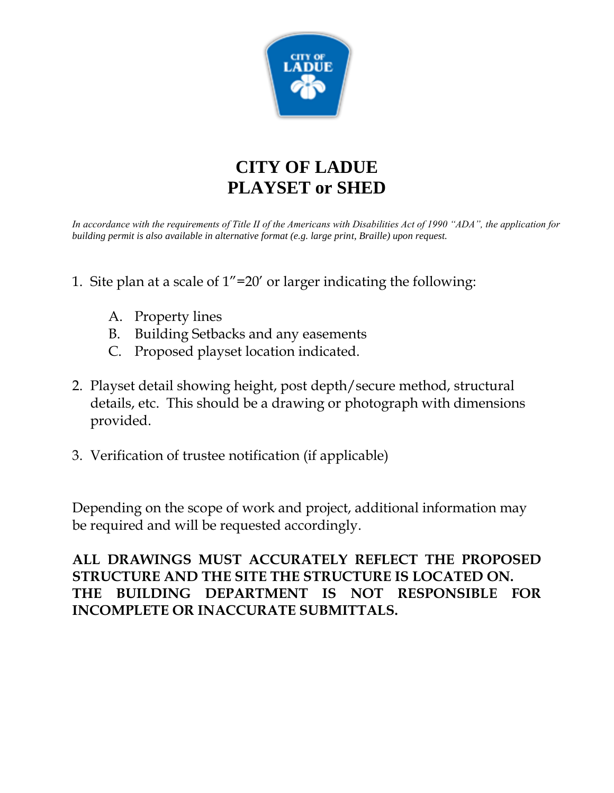

# **CITY OF LADUE PLAYSET or SHED**

*In accordance with the requirements of Title II of the Americans with Disabilities Act of 1990 "ADA", the application for building permit is also available in alternative format (e.g. large print, Braille) upon request.*

- 1. Site plan at a scale of 1"=20' or larger indicating the following:
	- A. Property lines
	- B. Building Setbacks and any easements
	- C. Proposed playset location indicated.
- 2. Playset detail showing height, post depth/secure method, structural details, etc. This should be a drawing or photograph with dimensions provided.
- 3. Verification of trustee notification (if applicable)

Depending on the scope of work and project, additional information may be required and will be requested accordingly.

**ALL DRAWINGS MUST ACCURATELY REFLECT THE PROPOSED STRUCTURE AND THE SITE THE STRUCTURE IS LOCATED ON. THE BUILDING DEPARTMENT IS NOT RESPONSIBLE FOR INCOMPLETE OR INACCURATE SUBMITTALS.**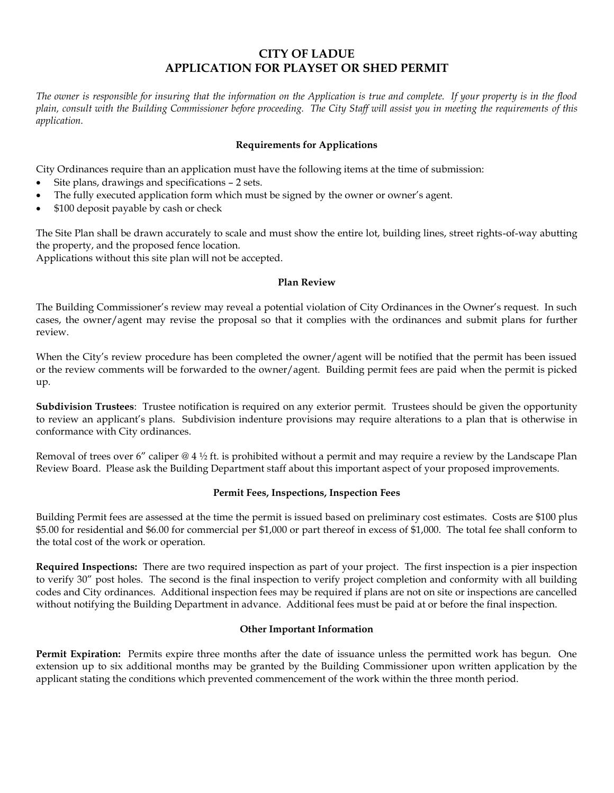# **CITY OF LADUE APPLICATION FOR PLAYSET OR SHED PERMIT**

*The owner is responsible for insuring that the information on the Application is true and complete. If your property is in the flood plain, consult with the Building Commissioner before proceeding. The City Staff will assist you in meeting the requirements of this application.*

## **Requirements for Applications**

City Ordinances require than an application must have the following items at the time of submission:

- Site plans, drawings and specifications 2 sets.
- The fully executed application form which must be signed by the owner or owner's agent.
- \$100 deposit payable by cash or check

The Site Plan shall be drawn accurately to scale and must show the entire lot, building lines, street rights-of-way abutting the property, and the proposed fence location.

Applications without this site plan will not be accepted.

#### **Plan Review**

The Building Commissioner's review may reveal a potential violation of City Ordinances in the Owner's request. In such cases, the owner/agent may revise the proposal so that it complies with the ordinances and submit plans for further review.

When the City's review procedure has been completed the owner/agent will be notified that the permit has been issued or the review comments will be forwarded to the owner/agent. Building permit fees are paid when the permit is picked up.

**Subdivision Trustees**: Trustee notification is required on any exterior permit. Trustees should be given the opportunity to review an applicant's plans. Subdivision indenture provisions may require alterations to a plan that is otherwise in conformance with City ordinances.

Removal of trees over 6" caliper  $@4\frac{1}{2}$  ft. is prohibited without a permit and may require a review by the Landscape Plan Review Board. Please ask the Building Department staff about this important aspect of your proposed improvements.

#### **Permit Fees, Inspections, Inspection Fees**

Building Permit fees are assessed at the time the permit is issued based on preliminary cost estimates. Costs are \$100 plus \$5.00 for residential and \$6.00 for commercial per \$1,000 or part thereof in excess of \$1,000. The total fee shall conform to the total cost of the work or operation.

**Required Inspections:** There are two required inspection as part of your project. The first inspection is a pier inspection to verify 30" post holes. The second is the final inspection to verify project completion and conformity with all building codes and City ordinances. Additional inspection fees may be required if plans are not on site or inspections are cancelled without notifying the Building Department in advance. Additional fees must be paid at or before the final inspection.

#### **Other Important Information**

**Permit Expiration:** Permits expire three months after the date of issuance unless the permitted work has begun. One extension up to six additional months may be granted by the Building Commissioner upon written application by the applicant stating the conditions which prevented commencement of the work within the three month period.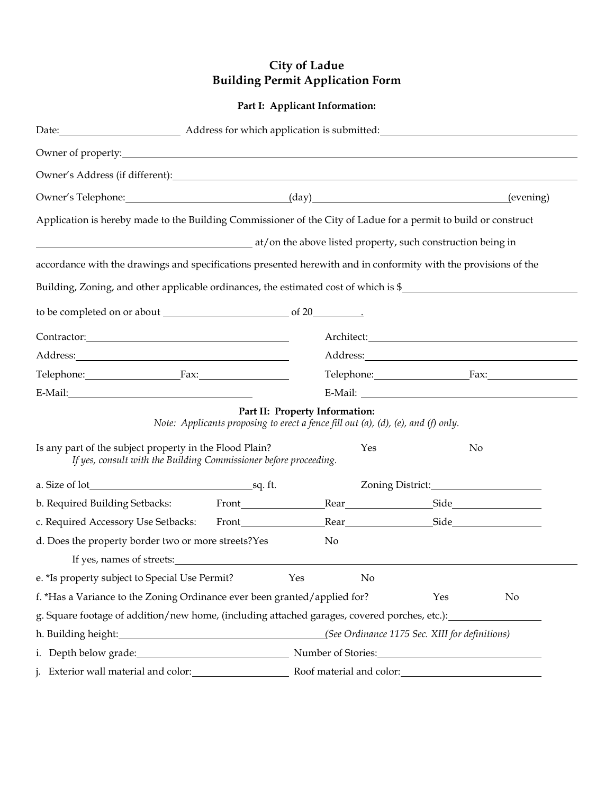# **City of Ladue Building Permit Application Form**

# **Part I: Applicant Information:**

| Owner of property: <u>contained a set of property:</u>                                                                                                                                                                         |                                                                                   |                                                                                                                                                                                                                                        |     |                  |    |
|--------------------------------------------------------------------------------------------------------------------------------------------------------------------------------------------------------------------------------|-----------------------------------------------------------------------------------|----------------------------------------------------------------------------------------------------------------------------------------------------------------------------------------------------------------------------------------|-----|------------------|----|
| Owner's Address (if different): Note that the set of the set of the set of the set of the set of the set of the set of the set of the set of the set of the set of the set of the set of the set of the set of the set of the  |                                                                                   |                                                                                                                                                                                                                                        |     |                  |    |
|                                                                                                                                                                                                                                | Owner's Telephone: (day) (day) (evening) (evening)                                |                                                                                                                                                                                                                                        |     |                  |    |
| Application is hereby made to the Building Commissioner of the City of Ladue for a permit to build or construct                                                                                                                |                                                                                   |                                                                                                                                                                                                                                        |     |                  |    |
| at/on the above listed property, such construction being in                                                                                                                                                                    |                                                                                   |                                                                                                                                                                                                                                        |     |                  |    |
| accordance with the drawings and specifications presented herewith and in conformity with the provisions of the                                                                                                                |                                                                                   |                                                                                                                                                                                                                                        |     |                  |    |
|                                                                                                                                                                                                                                |                                                                                   |                                                                                                                                                                                                                                        |     |                  |    |
| Building, Zoning, and other applicable ordinances, the estimated cost of which is \$                                                                                                                                           |                                                                                   |                                                                                                                                                                                                                                        |     |                  |    |
|                                                                                                                                                                                                                                |                                                                                   |                                                                                                                                                                                                                                        |     |                  |    |
|                                                                                                                                                                                                                                |                                                                                   |                                                                                                                                                                                                                                        |     |                  |    |
|                                                                                                                                                                                                                                |                                                                                   |                                                                                                                                                                                                                                        |     |                  |    |
| Telephone: Fax:                                                                                                                                                                                                                |                                                                                   | Telephone: Fax:                                                                                                                                                                                                                        |     |                  |    |
| E-Mail: Participate of the Contract of the Contract of the Contract of the Contract of the Contract of the Contract of the Contract of the Contract of the Contract of the Contract of the Contract of the Contract of the Con |                                                                                   | E-Mail:                                                                                                                                                                                                                                |     |                  |    |
|                                                                                                                                                                                                                                | Note: Applicants proposing to erect a fence fill out (a), (d), (e), and (f) only. | Part II: Property Information:                                                                                                                                                                                                         |     |                  |    |
| Is any part of the subject property in the Flood Plain?<br>If yes, consult with the Building Commissioner before proceeding.                                                                                                   |                                                                                   |                                                                                                                                                                                                                                        | Yes | No               |    |
|                                                                                                                                                                                                                                |                                                                                   |                                                                                                                                                                                                                                        |     | Zoning District: |    |
|                                                                                                                                                                                                                                |                                                                                   |                                                                                                                                                                                                                                        |     |                  |    |
| c. Required Accessory Use Setbacks: Front Rear Rear Rear Side Key                                                                                                                                                              |                                                                                   |                                                                                                                                                                                                                                        |     |                  |    |
| d. Does the property border two or more streets?Yes                                                                                                                                                                            |                                                                                   | No                                                                                                                                                                                                                                     |     |                  |    |
| If yes, names of streets: The streets of streets and the streets of streets and the streets of streets and the streets of streets and the streets of streets.                                                                  |                                                                                   |                                                                                                                                                                                                                                        |     |                  |    |
| e. *Is property subject to Special Use Permit?                                                                                                                                                                                 |                                                                                   | Yes                                                                                                                                                                                                                                    | No  |                  |    |
| f. *Has a Variance to the Zoning Ordinance ever been granted/applied for?                                                                                                                                                      |                                                                                   |                                                                                                                                                                                                                                        |     | Yes              | No |
| g. Square footage of addition/new home, (including attached garages, covered porches, etc.):                                                                                                                                   |                                                                                   |                                                                                                                                                                                                                                        |     |                  |    |
|                                                                                                                                                                                                                                |                                                                                   | (See Ordinance 1175 Sec. XIII for definitions)                                                                                                                                                                                         |     |                  |    |
|                                                                                                                                                                                                                                | i. Depth below grade: Mumber of Stories: Number of Stories:                       |                                                                                                                                                                                                                                        |     |                  |    |
| j. Exterior wall material and color:<br><u>Letterior wall material and color:</u>                                                                                                                                              |                                                                                   | Roof material and color:<br><u>Letting</u> and color:<br>Letting and the set of the set of the set of the set of the set of the set of the set of the set of the set of the set of the set of the set of the set of the set of the set |     |                  |    |